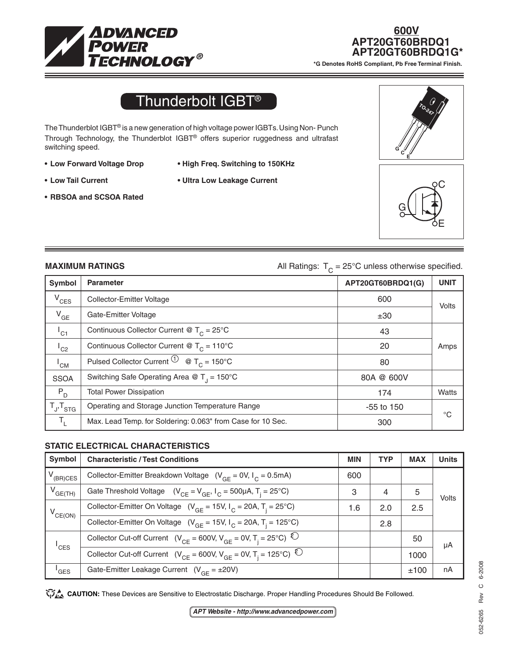

# **600V APT20GT60BRDQ1<br>\*G Denotes RoHS Compliant, Pb Free Terminal Finish.**

## Thunderbolt IGBT®

The Thunderblot IGBT® is a new generation of high voltage power IGBTs. Using Non- Punch Through Technology, the Thunderblot IGBT® offers superior ruggedness and ultrafast switching speed.

**• RBSOA and SCSOA Rated**

- **• Low Forward Voltage Drop • High Freq. Switching to 150KHz**
- 
- **• Low Tail Current • Ultra Low Leakage Current**





**MAXIMUM RATINGS All Ratings:**  $T_c = 25^\circ \text{C}$  unless otherwise specified.

| Symbol              | <b>Parameter</b>                                                  | APT20GT60BRDQ1(G) | <b>UNIT</b>  |
|---------------------|-------------------------------------------------------------------|-------------------|--------------|
| $V_{CES}$           | Collector-Emitter Voltage                                         | 600               | Volts        |
| $V_{GE}$            | Gate-Emitter Voltage                                              | ±30               |              |
| $I_{C1}$            | Continuous Collector Current @ $T_c = 25^{\circ}C$                | 43                |              |
| $^{\mathsf{I}}$ C2  | Continuous Collector Current @ $T_c = 110^{\circ}$ C              | 20                | Amps         |
| $^{\mathsf{I}}$ CM  | Pulsed Collector Current $\overline{10}$ @ T <sub>c</sub> = 150°C | 80                |              |
| <b>SSOA</b>         | Switching Safe Operating Area @ $T_1 = 150^{\circ}$ C             | 80A @ 600V        |              |
| $P_D$               | <b>Total Power Dissipation</b>                                    | 174               | Watts        |
| $T_{J}$ , $T_{STG}$ | Operating and Storage Junction Temperature Range                  | -55 to 150        | $^{\circ}$ C |
| $T_{L}$             | Max. Lead Temp. for Soldering: 0.063" from Case for 10 Sec.       | 300               |              |

#### **STATIC ELECTRICAL CHARACTERISTICS**

| Symbol              | <b>Characteristic / Test Conditions</b>                                             | <b>MIN</b> | <b>TYP</b> | <b>MAX</b> | <b>Units</b> |
|---------------------|-------------------------------------------------------------------------------------|------------|------------|------------|--------------|
| $V_{(BR)CES}$       | Collector-Emitter Breakdown Voltage ( $V_{GF} = 0V$ , $I_C = 0.5mA$ )               | 600        |            |            |              |
| $V_{GE(TH)}$        | Gate Threshold Voltage $(V_{CF} = V_{GF}, I_C = 500 \mu A, T_i = 25^{\circ}C)$      | 3          | 4          | 5          | Volts        |
| $V_{CE(ON)}$        | Collector-Emitter On Voltage $(V_{GF} = 15V, I_C = 20A, T_i = 25^{\circ}C)$         | 1.6        | 2.0        | 2.5        |              |
|                     | Collector-Emitter On Voltage ( $V_{GF}$ = 15V, $I_C$ = 20A, T <sub>i</sub> = 125°C) |            | 2.8        |            |              |
| $I_{CES}$           | Collector Cut-off Current $(V_{CF} = 600V, V_{GF} = 0V, T_i = 25°C)^Q$              |            |            | 50         | μA           |
|                     | Collector Cut-off Current $(V_{CE} = 600V, V_{GE} = 0V, T_i = 125°C)^Q$             |            |            | 1000       |              |
| $^{\mathsf{I}}$ GES | Gate-Emitter Leakage Current $(V_{GF} = \pm 20V)$                                   |            |            | ±100       | nA           |

CAUTION: These Devices are Sensitive to Electrostatic Discharge. Proper Handling Procedures Should Be Followed.

*APT Website - http://www.advancedpower.com*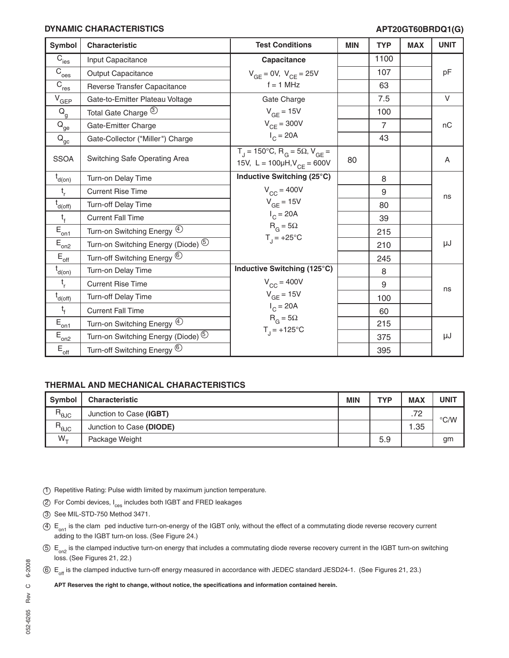#### **DYNAMIC CHARACTERISTICS**

### **APT20GT60BRDQ1(G)**

| <b>Symbol</b>                         | <b>Characteristic</b>                         | <b>Test Conditions</b>                                                                              | <b>MIN</b> | <b>TYP</b>     | <b>MAX</b> | <b>UNIT</b> |
|---------------------------------------|-----------------------------------------------|-----------------------------------------------------------------------------------------------------|------------|----------------|------------|-------------|
| $\overline{C}_{\rm ies}$              | Input Capacitance                             | Capacitance                                                                                         |            | 1100           |            |             |
| $\overline{C}_{\text{oes}}$           | <b>Output Capacitance</b>                     | $V_{GE} = 0V$ , $V_{CE} = 25V$                                                                      |            | 107            |            | pF          |
| $\overline{C}_{\underline{res}}$      | Reverse Transfer Capacitance                  | $f = 1$ MHz                                                                                         |            | 63             |            |             |
| $\mathrm{V}_{\underline{\text{GEP}}}$ | Gate-to-Emitter Plateau Voltage               | Gate Charge                                                                                         |            | 7.5            |            | $\vee$      |
| $\mathsf{Q}_{\mathsf{g}}$             | Total Gate Charge 3                           | $V_{GF}$ = 15V                                                                                      |            | 100            |            |             |
| $\bar{Q}_{\underline{ge}}$            | Gate-Emitter Charge                           | $V_{CF}$ = 300V                                                                                     |            | $\overline{7}$ |            | nC          |
| $\mathsf{Q}_\mathsf{gc}$              | Gate-Collector ("Miller") Charge              | $I_C = 20A$                                                                                         |            | 43             |            |             |
| <b>SSOA</b>                           | Switching Safe Operating Area                 | $T_1 = 150^{\circ}$ C, R <sub>G</sub> = 5Ω, V <sub>GE</sub> =<br>15V, L = $100\mu H, V_{CE} = 600V$ | 80         |                |            | A           |
| $t_{d(on)}$                           | Turn-on Delay Time                            | Inductive Switching (25°C)                                                                          |            | 8              |            |             |
| $t_{r}$                               | <b>Current Rise Time</b>                      | $V_{CC}$ = 400V                                                                                     |            | 9              |            | ns          |
| $t_{d(off)}$                          | Turn-off Delay Time                           | $V_{GF} = 15V$                                                                                      |            | 80             |            |             |
| $t_{f}$                               | <b>Current Fall Time</b>                      | $I_{C} = 20A$                                                                                       |            | 39             |            |             |
| $E_{\underline{on1}}$                 | Turn-on Switching Energy 4                    | $R_G = 5\Omega$                                                                                     |            | 215            |            |             |
| $E_{on2}$                             | Turn-on Switching Energy (Diode) <sup>5</sup> | $T_{1} = +25^{\circ}C$                                                                              |            | 210            |            | μJ          |
| $E_{\underline{\text{off}}}$          | Turn-off Switching Energy <sup>6</sup>        |                                                                                                     |            | 245            |            |             |
| $t_{d(0n)}$                           | Turn-on Delay Time                            | Inductive Switching (125°C)                                                                         |            | 8              |            |             |
| $t_{r}$                               | <b>Current Rise Time</b>                      | $V_{CC}$ = 400V                                                                                     |            | 9              |            | ns          |
| $t_{d(off)}$                          | Turn-off Delay Time                           | $V_{GE}$ = 15V                                                                                      |            | 100            |            |             |
| $t_f$                                 | <b>Current Fall Time</b>                      | $I_C = 20A$                                                                                         |            | 60             |            |             |
| $E_{\underline{on1}}$                 | Turn-on Switching Energy 4                    | $R_G = 5\Omega$                                                                                     |            | 215            |            |             |
| $E_{on2}$                             | Turn-on Switching Energy (Diode) <sup>5</sup> | $T_{1} = +125^{\circ}C$                                                                             |            | 375            |            | μJ          |
| $\mathsf{E}_{\mathsf{off}}$           | Turn-off Switching Energy <sup>6</sup>        |                                                                                                     |            | 395            |            |             |

### **THERMAL AND MECHANICAL CHARACTERISTICS**

| <b>Symbol</b>                   | <b>Characteristic</b>    | <b>MIN</b> | <b>TYP</b> | <b>MAX</b>         | UNIT               |
|---------------------------------|--------------------------|------------|------------|--------------------|--------------------|
| $\mathsf{R}_{\Theta \text{JC}}$ | Junction to Case (IGBT)  |            |            | 72<br>. <i>.</i> . | $\rm ^{\circ}$ C/W |
| $R_{\theta$ JC                  | Junction to Case (DIODE) |            |            | l.35               |                    |
| $W_{+}$                         | Package Weight           |            | 5.9        |                    | gm                 |

- 1 Repetitive Rating: Pulse width limited by maximum junction temperature.
- 2 For Combi devices, I<sub>ces</sub> includes both IGBT and FRED leakages
- 3 See MIL-STD-750 Method 3471.
- $4.4$  E<sub>on1</sub> is the clam ped inductive turn-on-energy of the IGBT only, without the effect of a commutating diode reverse recovery current adding to the IGBT turn-on loss. (See Figure 24.)
- $5 E_{\text{on}}$  is the clamped inductive turn-on energy that includes a commutating diode reverse recovery current in the IGBT turn-on switching loss. (See Figures 21, 22.)
- $6 E_{\text{off}}$  is the clamped inductive turn-off energy measured in accordance with JEDEC standard JESD24-1. (See Figures 21, 23.)

**APT Reserves the right to change, without notice, the specifications and information contained herein.**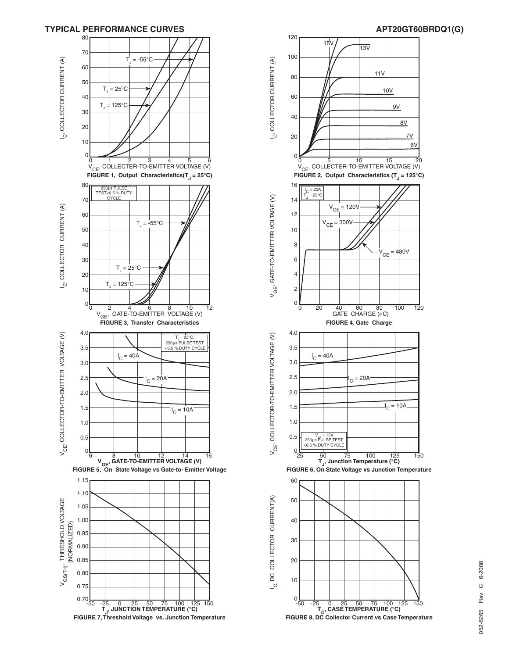



## 6-2008 052-6265 Rev C 6-2008  $\circ$ Rev 052-6265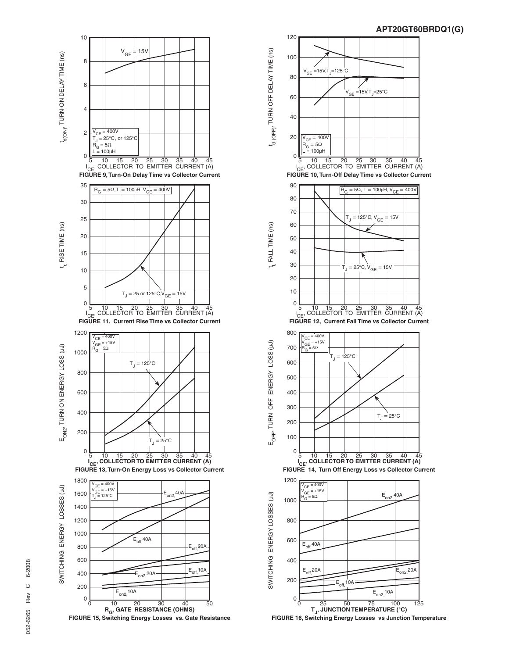







**FIGURE 16, Switching Energy Losses vs Junction Temperature**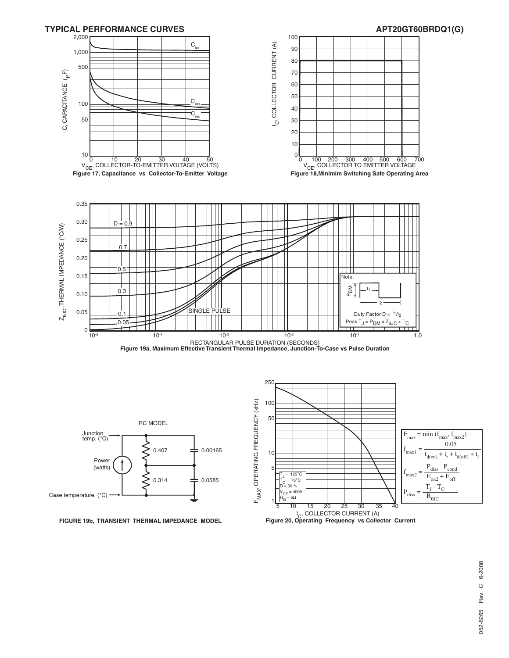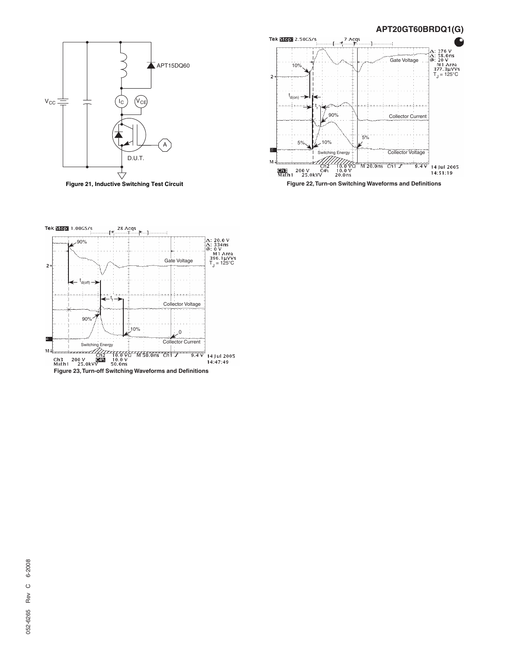

**Figure 21, Inductive Switching Test Circuit**



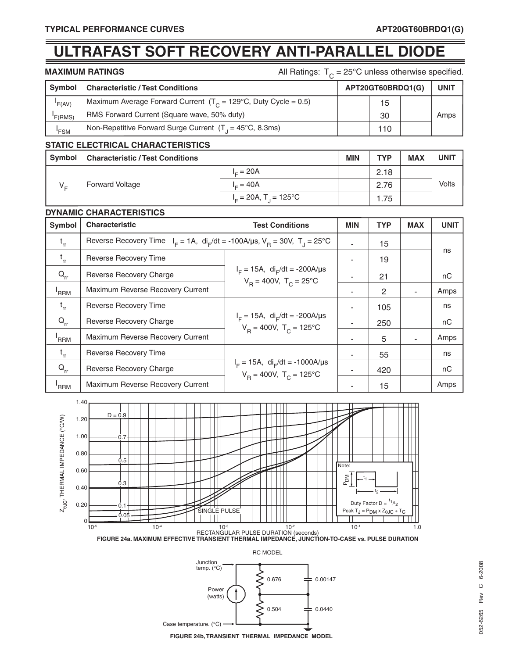## **ULTRAFAST SOFT RECOVERY ANTI-PARALLEL DIODE**

| <b>MAXIMUM RATINGS</b> |  |  |  |
|------------------------|--|--|--|
|------------------------|--|--|--|

All Ratings:  $T_C = 25^{\circ}$ C unless otherwise specified.

| Symbol  | <b>Characteristic / Test Conditions</b>                                   | APT20GT60BRDQ1(G) | <b>UNIT</b> |
|---------|---------------------------------------------------------------------------|-------------------|-------------|
| F(AV)   | Maximum Average Forward Current $(T_c = 129^{\circ}C,$ Duty Cycle = 0.5)  | 15                |             |
| 'F(RMS) | RMS Forward Current (Square wave, 50% duty)                               | 30                | Amps        |
| 'FSM    | Non-Repetitive Forward Surge Current $(T_1 = 45^{\circ}C, 8.3 \text{ms})$ | 110               |             |

#### **STATIC ELECTRICAL CHARACTERISTICS**

| <b>Symbol</b> | <b>Characteristic / Test Conditions</b> |                                      | <b>MIN</b> | <b>TYP</b> | <b>MAX</b> | <b>UNIT</b> |
|---------------|-----------------------------------------|--------------------------------------|------------|------------|------------|-------------|
| $V_{E}$       | <b>Forward Voltage</b>                  | $I = 20A$                            |            | 2.18       |            |             |
|               |                                         | $I = 40A$                            |            | 2.76       |            | Volts       |
|               |                                         | $I_c = 20A$ , T <sub>1</sub> = 125°C |            | l.75       |            |             |

#### **DYNAMIC CHARACTERISTICS**

| Symbol           | <b>Characteristic</b>                                                                          | <b>Test Conditions</b>                                                               | <b>MIN</b> | <b>TYP</b> | <b>MAX</b> | <b>UNIT</b> |
|------------------|------------------------------------------------------------------------------------------------|--------------------------------------------------------------------------------------|------------|------------|------------|-------------|
| $t_{rr}$         | Reverse Recovery Time $I_F = 1A$ , $di_F/dt = -100A/\mu s$ , $V_B = 30V$ , $T_A = 25^{\circ}C$ |                                                                                      |            | 15         |            |             |
| $t_{rr}$         | Reverse Recovery Time                                                                          |                                                                                      |            | 19         |            | ns          |
| $Q_{rr}$         | Reverse Recovery Charge                                                                        | $I_F = 15A$ , di <sub>F</sub> /dt = -200A/µs<br>$V_B = 400V$ , $T_C = 25^{\circ}C$   |            | 21         |            | nC          |
| <sup>'</sup> RRM | Maximum Reverse Recovery Current                                                               |                                                                                      |            | 2          |            | Amps        |
| $t_{rr}$         | Reverse Recovery Time                                                                          | $I_F = 15A$ , di <sub>F</sub> /dt = -200A/µs<br>$V_B = 400V$ , $T_C = 125^{\circ}C$  |            | 105        |            | ns          |
| $Q_{rr}$         | Reverse Recovery Charge                                                                        |                                                                                      |            | 250        |            | nC          |
| <sup>'</sup> RRM | Maximum Reverse Recovery Current                                                               |                                                                                      |            | 5          |            | Amps        |
| $t_{rr}$         | Reverse Recovery Time                                                                          | $I_F = 15A$ , di <sub>F</sub> /dt = -1000A/µs<br>$V_B = 400V$ , $T_C = 125^{\circ}C$ |            | 55         |            | ns          |
| $Q_{rr}$         | Reverse Recovery Charge                                                                        |                                                                                      |            | 420        |            | nC          |
| 'RRM             | Maximum Reverse Recovery Current                                                               |                                                                                      |            | 15         |            | Amps        |



RC MODEL

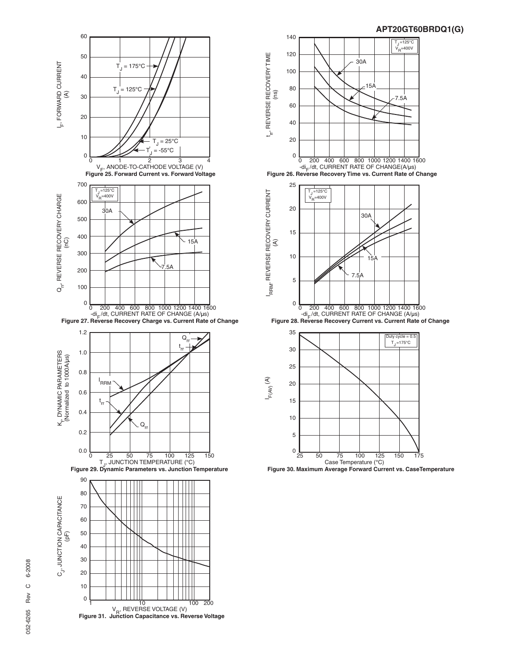



6-2008 052-6265 Rev C 6-2008  $\circ$ Rev 052-6265